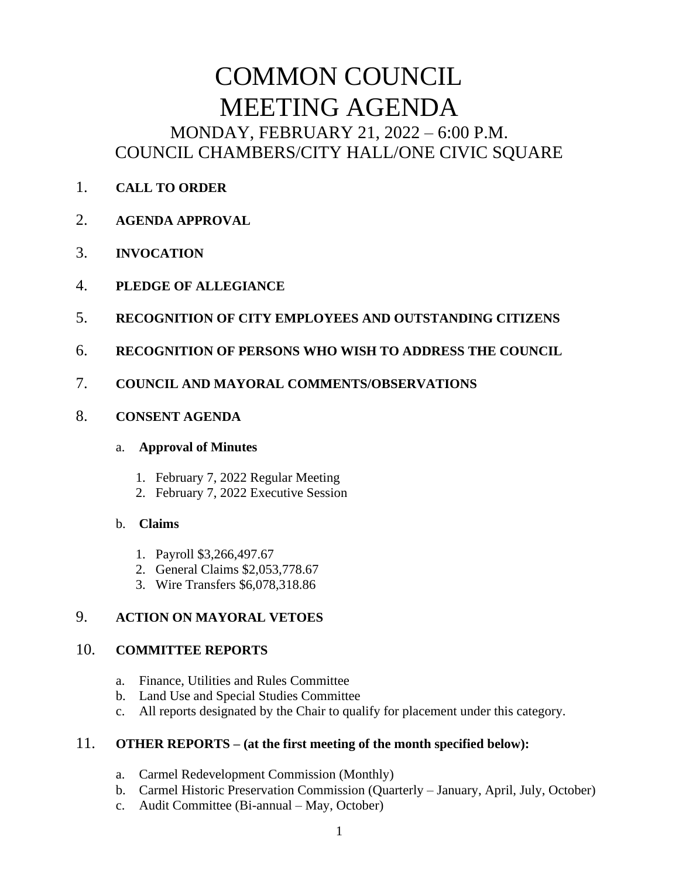# COMMON COUNCIL MEETING AGENDA MONDAY, FEBRUARY 21, 2022 – 6:00 P.M. COUNCIL CHAMBERS/CITY HALL/ONE CIVIC SQUARE

- 1. **CALL TO ORDER**
- 2. **AGENDA APPROVAL**
- 3. **INVOCATION**
- 4. **PLEDGE OF ALLEGIANCE**
- 5. **RECOGNITION OF CITY EMPLOYEES AND OUTSTANDING CITIZENS**
- 6. **RECOGNITION OF PERSONS WHO WISH TO ADDRESS THE COUNCIL**
- 7. **COUNCIL AND MAYORAL COMMENTS/OBSERVATIONS**
- 8. **CONSENT AGENDA**

#### a. **Approval of Minutes**

- 1. February 7, 2022 Regular Meeting
- 2. February 7, 2022 Executive Session

## b. **Claims**

- 1. Payroll \$3,266,497.67
- 2. General Claims \$2,053,778.67
- 3. Wire Transfers \$6,078,318.86

# 9. **ACTION ON MAYORAL VETOES**

## 10. **COMMITTEE REPORTS**

- a. Finance, Utilities and Rules Committee
- b. Land Use and Special Studies Committee
- c. All reports designated by the Chair to qualify for placement under this category.

## 11. **OTHER REPORTS – (at the first meeting of the month specified below):**

- a. Carmel Redevelopment Commission (Monthly)
- b. Carmel Historic Preservation Commission (Quarterly January, April, July, October)
- c. Audit Committee (Bi-annual May, October)